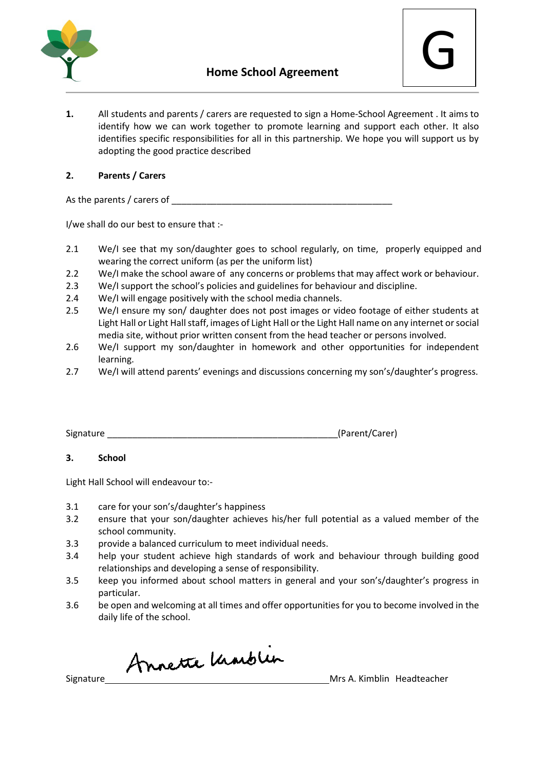

**1.** All students and parents / carers are requested to sign a Home-School Agreement . It aims to identify how we can work together to promote learning and support each other. It also identifies specific responsibilities for all in this partnership. We hope you will support us by adopting the good practice described

## **2. Parents / Carers**

As the parents / carers of

I/we shall do our best to ensure that :-

- 2.1 We/I see that my son/daughter goes to school regularly, on time, properly equipped and wearing the correct uniform (as per the uniform list)
- 2.2 We/I make the school aware of any concerns or problems that may affect work or behaviour.
- 2.3 We/I support the school's policies and guidelines for behaviour and discipline.
- 2.4 We/I will engage positively with the school media channels.
- 2.5 We/I ensure my son/ daughter does not post images or video footage of either students at Light Hall or Light Hall staff, images of Light Hall or the Light Hall name on any internet or social media site, without prior written consent from the head teacher or persons involved.
- 2.6 We/I support my son/daughter in homework and other opportunities for independent learning.
- 2.7 We/I will attend parents' evenings and discussions concerning my son's/daughter's progress.

| Signature | (Parent/Carer) |
|-----------|----------------|
|-----------|----------------|

## **3. School**

Light Hall School will endeavour to:-

- 3.1 care for your son's/daughter's happiness
- 3.2 ensure that your son/daughter achieves his/her full potential as a valued member of the school community.
- 3.3 provide a balanced curriculum to meet individual needs.
- 3.4 help your student achieve high standards of work and behaviour through building good relationships and developing a sense of responsibility.
- 3.5 keep you informed about school matters in general and your son's/daughter's progress in particular.
- 3.6 be open and welcoming at all times and offer opportunities for you to become involved in the daily life of the school.

Signature Annette Unarblux<br>Signature Mrs A. Kimblin Headteacher